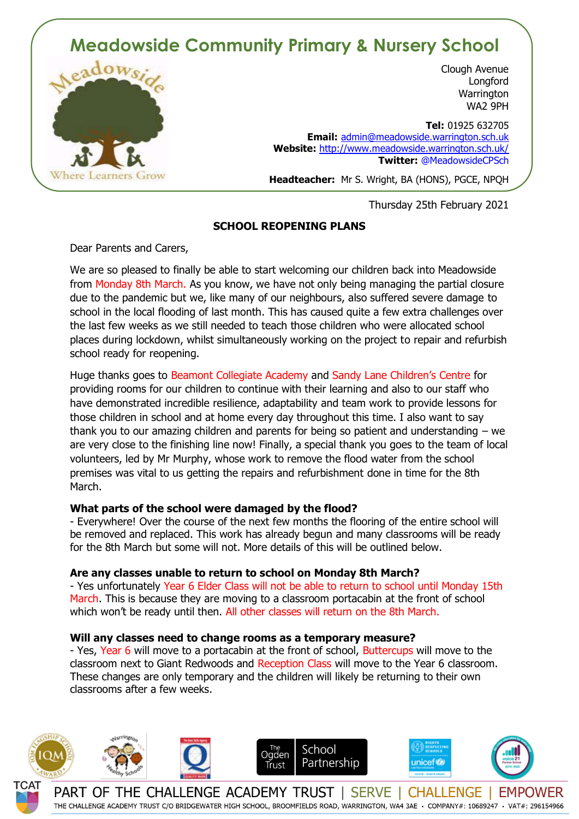# **Meadowside Community Primary & Nursery School**



Clough Avenue **Longford Warrington** WA2 9PH

 **Tel:** 01925 632705 **Email:** admin@meadowside.warrington.sch.uk **Website:** http://www.meadowside.warrington.sch.uk/ **Twitter:** @MeadowsideCPSch

**Headteacher:** Mr S. Wright, BA (HONS), PGCE, NPQH

Thursday 25th February 2021

# **SCHOOL REOPENING PLANS**

Dear Parents and Carers,

We are so pleased to finally be able to start welcoming our children back into Meadowside from Monday 8th March. As you know, we have not only being managing the partial closure due to the pandemic but we, like many of our neighbours, also suffered severe damage to school in the local flooding of last month. This has caused quite a few extra challenges over the last few weeks as we still needed to teach those children who were allocated school places during lockdown, whilst simultaneously working on the project to repair and refurbish school ready for reopening.

Huge thanks goes to Beamont Collegiate Academy and Sandy Lane Children's Centre for providing rooms for our children to continue with their learning and also to our staff who have demonstrated incredible resilience, adaptability and team work to provide lessons for those children in school and at home every day throughout this time. I also want to say thank you to our amazing children and parents for being so patient and understanding – we are very close to the finishing line now! Finally, a special thank you goes to the team of local volunteers, led by Mr Murphy, whose work to remove the flood water from the school premises was vital to us getting the repairs and refurbishment done in time for the 8th March.

### **What parts of the school were damaged by the flood?**

- Everywhere! Over the course of the next few months the flooring of the entire school will be removed and replaced. This work has already begun and many classrooms will be ready for the 8th March but some will not. More details of this will be outlined below.

### **Are any classes unable to return to school on Monday 8th March?**

- Yes unfortunately Year 6 Elder Class will not be able to return to school until Monday 15th March. This is because they are moving to a classroom portacabin at the front of school which won't be ready until then. All other classes will return on the 8th March.

## **Will any classes need to change rooms as a temporary measure?**

- Yes, Year 6 will move to a portacabin at the front of school, Buttercups will move to the classroom next to Giant Redwoods and Reception Class will move to the Year 6 classroom. These changes are only temporary and the children will likely be returning to their own classrooms after a few weeks.



THE CHALLENGE ACADEMY TRUST C/O BRIDGEWATER HIGH SCHOOL, BROOMFIELDS ROAD, WARRINGTON, WA4 3AE · COMPANY#: 10689247 · VAT#: 296154966